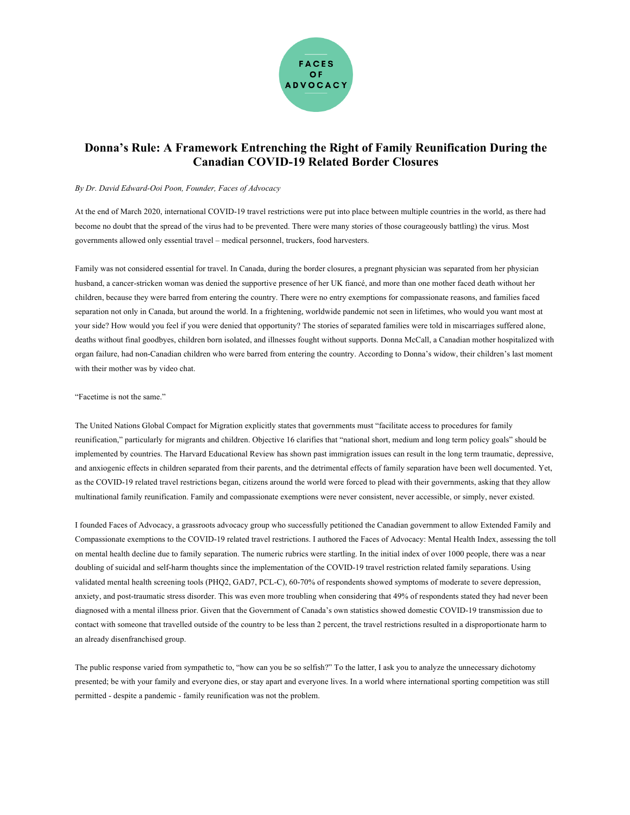

## **Donna's Rule: A Framework Entrenching the Right of Family Reunification During the Canadian COVID-19 Related Border Closures**

## *By Dr. David Edward-Ooi Poon, Founder, Faces of Advocacy*

At the end of March 2020, international COVID-19 travel restrictions were put into place between multiple countries in the world, as there had become no doubt that the spread of the virus had to be prevented. There were many stories of those courageously battling) the virus. Most governments allowed only essential travel – medical personnel, truckers, food harvesters.

Family was not considered essential for travel. In Canada, during the border closures, a pregnant physician was separated from her physician husband, a cancer-stricken woman was denied the supportive presence of her UK fiancé, and more than one mother faced death without her children, because they were barred from entering the country. There were no entry exemptions for compassionate reasons, and families faced separation not only in Canada, but around the world. In a frightening, worldwide pandemic not seen in lifetimes, who would you want most at your side? How would you feel if you were denied that opportunity? The stories of separated families were told in miscarriages suffered alone, deaths without final goodbyes, children born isolated, and illnesses fought without supports. Donna McCall, a Canadian mother hospitalized with organ failure, had non-Canadian children who were barred from entering the country. According to Donna's widow, their children's last moment with their mother was by video chat.

## "Facetime is not the same."

The United Nations Global Compact for Migration explicitly states that governments must "facilitate access to procedures for family reunification," particularly for migrants and children. Objective 16 clarifies that "national short, medium and long term policy goals" should be implemented by countries. The Harvard Educational Review has shown past immigration issues can result in the long term traumatic, depressive, and anxiogenic effects in children separated from their parents, and the detrimental effects of family separation have been well documented. Yet, as the COVID-19 related travel restrictions began, citizens around the world were forced to plead with their governments, asking that they allow multinational family reunification. Family and compassionate exemptions were never consistent, never accessible, or simply, never existed.

I founded Faces of Advocacy, a grassroots advocacy group who successfully petitioned the Canadian government to allow Extended Family and Compassionate exemptions to the COVID-19 related travel restrictions. I authored the Faces of Advocacy: Mental Health Index, assessing the toll on mental health decline due to family separation. The numeric rubrics were startling. In the initial index of over 1000 people, there was a near doubling of suicidal and self-harm thoughts since the implementation of the COVID-19 travel restriction related family separations. Using validated mental health screening tools (PHQ2, GAD7, PCL-C), 60-70% of respondents showed symptoms of moderate to severe depression, anxiety, and post-traumatic stress disorder. This was even more troubling when considering that 49% of respondents stated they had never been diagnosed with a mental illness prior. Given that the Government of Canada's own statistics showed domestic COVID-19 transmission due to contact with someone that travelled outside of the country to be less than 2 percent, the travel restrictions resulted in a disproportionate harm to an already disenfranchised group.

The public response varied from sympathetic to, "how can you be so selfish?" To the latter, I ask you to analyze the unnecessary dichotomy presented; be with your family and everyone dies, or stay apart and everyone lives. In a world where international sporting competition was still permitted - despite a pandemic - family reunification was not the problem.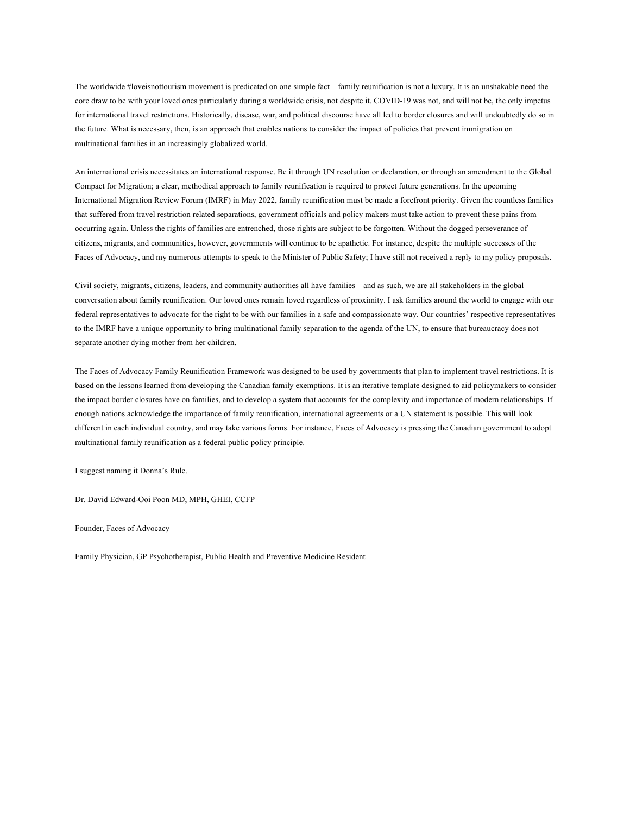The worldwide #loveisnottourism movement is predicated on one simple fact – family reunification is not a luxury. It is an unshakable need the core draw to be with your loved ones particularly during a worldwide crisis, not despite it. COVID-19 was not, and will not be, the only impetus for international travel restrictions. Historically, disease, war, and political discourse have all led to border closures and will undoubtedly do so in the future. What is necessary, then, is an approach that enables nations to consider the impact of policies that prevent immigration on multinational families in an increasingly globalized world.

An international crisis necessitates an international response. Be it through UN resolution or declaration, or through an amendment to the Global Compact for Migration; a clear, methodical approach to family reunification is required to protect future generations. In the upcoming International Migration Review Forum (IMRF) in May 2022, family reunification must be made a forefront priority. Given the countless families that suffered from travel restriction related separations, government officials and policy makers must take action to prevent these pains from occurring again. Unless the rights of families are entrenched, those rights are subject to be forgotten. Without the dogged perseverance of citizens, migrants, and communities, however, governments will continue to be apathetic. For instance, despite the multiple successes of the Faces of Advocacy, and my numerous attempts to speak to the Minister of Public Safety; I have still not received a reply to my policy proposals.

Civil society, migrants, citizens, leaders, and community authorities all have families – and as such, we are all stakeholders in the global conversation about family reunification. Our loved ones remain loved regardless of proximity. I ask families around the world to engage with our federal representatives to advocate for the right to be with our families in a safe and compassionate way. Our countries' respective representatives to the IMRF have a unique opportunity to bring multinational family separation to the agenda of the UN, to ensure that bureaucracy does not separate another dying mother from her children.

The Faces of Advocacy Family Reunification Framework was designed to be used by governments that plan to implement travel restrictions. It is based on the lessons learned from developing the Canadian family exemptions. It is an iterative template designed to aid policymakers to consider the impact border closures have on families, and to develop a system that accounts for the complexity and importance of modern relationships. If enough nations acknowledge the importance of family reunification, international agreements or a UN statement is possible. This will look different in each individual country, and may take various forms. For instance, Faces of Advocacy is pressing the Canadian government to adopt multinational family reunification as a federal public policy principle.

I suggest naming it Donna's Rule.

Dr. David Edward-Ooi Poon MD, MPH, GHEI, CCFP

Founder, Faces of Advocacy

Family Physician, GP Psychotherapist, Public Health and Preventive Medicine Resident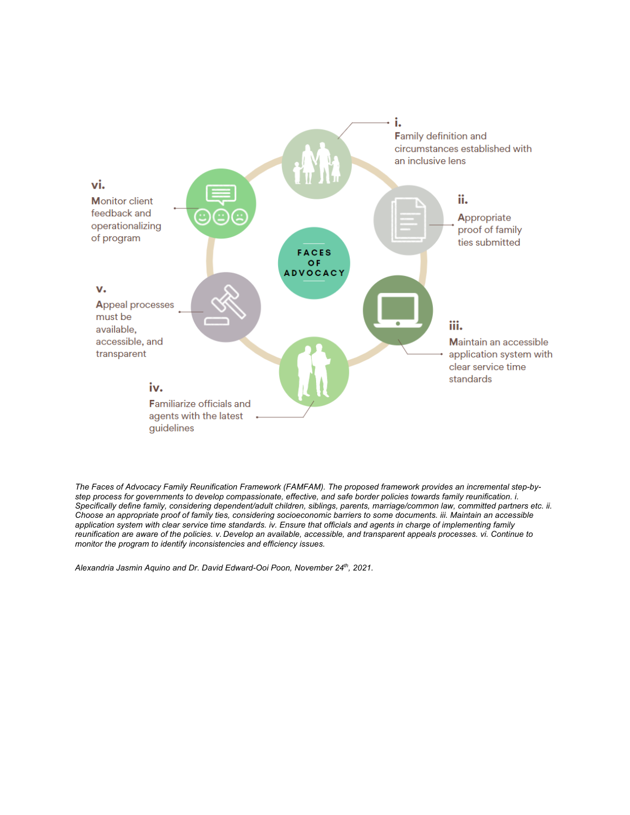

*The Faces of Advocacy Family Reunification Framework (FAMFAM). The proposed framework provides an incremental step-bystep process for governments to develop compassionate, effective, and safe border policies towards family reunification. i. Specifically define family, considering dependent/adult children, siblings, parents, marriage/common law, committed partners etc. ii. Choose an appropriate proof of family ties, considering socioeconomic barriers to some documents. iii. Maintain an accessible application system with clear service time standards. iv. Ensure that officials and agents in charge of implementing family reunification are aware of the policies. v. Develop an available, accessible, and transparent appeals processes. vi. Continue to monitor the program to identify inconsistencies and efficiency issues.*

*Alexandria Jasmin Aquino and Dr. David Edward-Ooi Poon, November 24th, 2021.*